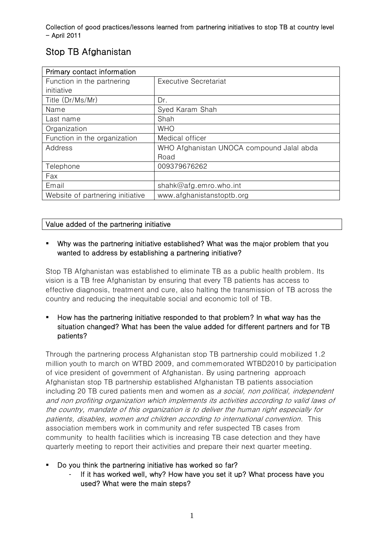# Stop TB Afghanistan

| Primary contact information      |                                           |
|----------------------------------|-------------------------------------------|
| Function in the partnering       | <b>Executive Secretariat</b>              |
| initiative                       |                                           |
| Title (Dr/Ms/Mr)                 | Dr.                                       |
| Name                             | Syed Karam Shah                           |
| Last name                        | Shah                                      |
| Organization                     | <b>WHO</b>                                |
| Function in the organization     | Medical officer                           |
| Address                          | WHO Afghanistan UNOCA compound Jalal abda |
|                                  | Road                                      |
| Telephone                        | 009379676262                              |
| Fax                              |                                           |
| Email                            | shahk@afg.emro.who.int                    |
| Website of partnering initiative | www.afghanistanstoptb.org                 |

# Value added of the partnering initiative

## Why was the partnering initiative established? What was the major problem that you wanted to address by establishing a partnering initiative?

Stop TB Afghanistan was established to eliminate TB as a public health problem. Its vision is a TB free Afghanistan by ensuring that every TB patients has access to effective diagnosis, treatment and cure, also halting the transmission of TB across the country and reducing the inequitable social and economic toll of TB.

# How has the partnering initiative responded to that problem? In what way has the situation changed? What has been the value added for different partners and for TB patients?

Through the partnering process Afghanistan stop TB partnership could mobilized 1.2 million youth to march on WTBD 2009, and commemorated WTBD2010 by participation of vice president of government of Afghanistan. By using partnering approach Afghanistan stop TB partnership established Afghanistan TB patients association including 20 TB cured patients men and women as a social, non political, independent and non profiting organization which implements its activities according to valid laws of the country, mandate of this organization is to deliver the human right especially for patients, disables, women and children according to international convention. This association members work in community and refer suspected TB cases from community to health facilities which is increasing TB case detection and they have quarterly meeting to report their activities and prepare their next quarter meeting.

- Do you think the partnering initiative has worked so far?
	- If it has worked well, why? How have you set it up? What process have you used? What were the main steps?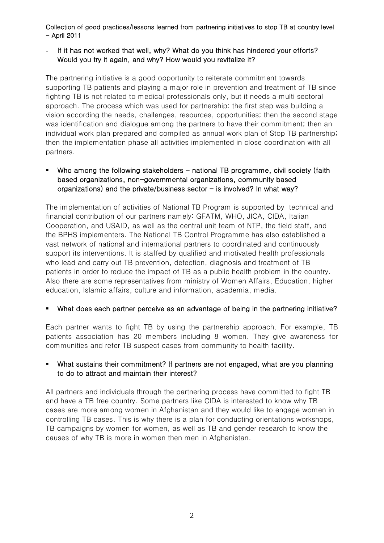## If it has not worked that well, why? What do you think has hindered your efforts? Would you try it again, and why? How would you revitalize it?

The partnering initiative is a good opportunity to reiterate commitment towards supporting TB patients and playing a major role in prevention and treatment of TB since fighting TB is not related to medical professionals only, but it needs a multi sectoral approach. The process which was used for partnership: the first step was building a vision according the needs, challenges, resources, opportunities; then the second stage was identification and dialogue among the partners to have their commitment; then an individual work plan prepared and compiled as annual work plan of Stop TB partnership; then the implementation phase all activities implemented in close coordination with all partners.

## Who among the following stakeholders  $-$  national TB programme, civil society (faith based organizations, non-governmental organizations, community based organizations) and the private/business sector  $-$  is involved? In what way?

The implementation of activities of National TB Program is supported by technical and financial contribution of our partners namely: GFATM, WHO, JICA, CIDA, Italian Cooperation, and USAID, as well as the central unit team of NTP, the field staff, and the BPHS implementers. The National TB Control Programme has also established a vast network of national and international partners to coordinated and continuously support its interventions. It is staffed by qualified and motivated health professionals who lead and carry out TB prevention, detection, diagnosis and treatment of TB patients in order to reduce the impact of TB as a public health problem in the country. Also there are some representatives from ministry of Women Affairs, Education, higher education, Islamic affairs, culture and information, academia, media.

## What does each partner perceive as an advantage of being in the partnering initiative?

Each partner wants to fight TB by using the partnership approach. For example, TB patients association has 20 members including 8 women. They give awareness for communities and refer TB suspect cases from community to health facility.

## What sustains their commitment? If partners are not engaged, what are you planning to do to attract and maintain their interest?

All partners and individuals through the partnering process have committed to fight TB and have a TB free country. Some partners like CIDA is interested to know why TB cases are more among women in Afghanistan and they would like to engage women in controlling TB cases. This is why there is a plan for conducting orientations workshops, TB campaigns by women for women, as well as TB and gender research to know the causes of why TB is more in women then men in Afghanistan.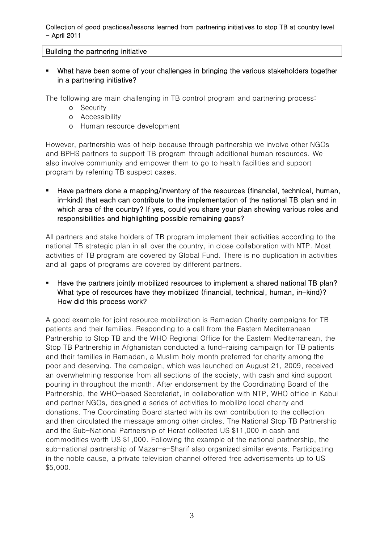## Building the partnering initiative

 What have been some of your challenges in bringing the various stakeholders together in a partnering initiative?

The following are main challenging in TB control program and partnering process:

- o Security
- o Accessibility
- o Human resource development

However, partnership was of help because through partnership we involve other NGOs and BPHS partners to support TB program through additional human resources. We also involve community and empower them to go to health facilities and support program by referring TB suspect cases.

 Have partners done a mapping/inventory of the resources (financial, technical, human, in-kind) that each can contribute to the implementation of the national TB plan and in which area of the country? If yes, could you share your plan showing various roles and responsibilities and highlighting possible remaining gaps?

All partners and stake holders of TB program implement their activities according to the national TB strategic plan in all over the country, in close collaboration with NTP. Most activities of TB program are covered by Global Fund. There is no duplication in activities and all gaps of programs are covered by different partners.

 Have the partners jointly mobilized resources to implement a shared national TB plan? What type of resources have they mobilized (financial, technical, human, in-kind)? How did this process work?

A good example for joint resource mobilization is Ramadan Charity campaigns for TB patients and their families. Responding to a call from the Eastern Mediterranean Partnership to Stop TB and the WHO Regional Office for the Eastern Mediterranean, the Stop TB Partnership in Afghanistan conducted a fund-raising campaign for TB patients and their families in Ramadan, a Muslim holy month preferred for charity among the poor and deserving. The campaign, which was launched on August 21, 2009, received an overwhelming response from all sections of the society, with cash and kind support pouring in throughout the month. After endorsement by the Coordinating Board of the Partnership, the WHO-based Secretariat, in collaboration with NTP, WHO office in Kabul and partner NGOs, designed a series of activities to mobilize local charity and donations. The Coordinating Board started with its own contribution to the collection and then circulated the message among other circles. The National Stop TB Partnership and the Sub-National Partnership of Herat collected US \$11,000 in cash and commodities worth US \$1,000. Following the example of the national partnership, the sub-national partnership of Mazar-e-Sharif also organized similar events. Participating in the noble cause, a private television channel offered free advertisements up to US \$5,000.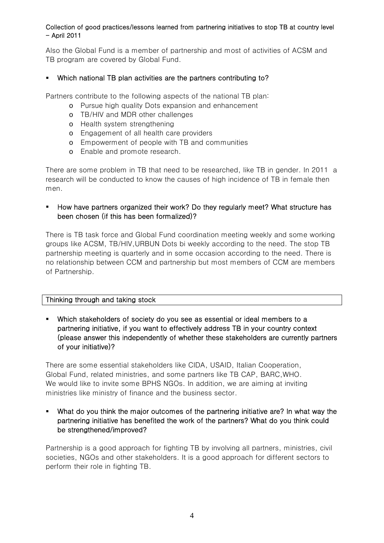Also the Global Fund is a member of partnership and most of activities of ACSM and TB program are covered by Global Fund.

## Which national TB plan activities are the partners contributing to?

Partners contribute to the following aspects of the national TB plan:

- o Pursue high quality Dots expansion and enhancement
- o TB/HIV and MDR other challenges
- o Health system strengthening
- o Engagement of all health care providers
- o Empowerment of people with TB and communities
- o Enable and promote research.

There are some problem in TB that need to be researched, like TB in gender. In 2011 a research will be conducted to know the causes of high incidence of TB in female then men.

## **How have partners organized their work? Do they regularly meet? What structure has** been chosen (if this has been formalized)?

There is TB task force and Global Fund coordination meeting weekly and some working groups like ACSM, TB/HIV,URBUN Dots bi weekly according to the need. The stop TB partnership meeting is quarterly and in some occasion according to the need. There is no relationship between CCM and partnership but most members of CCM are members of Partnership.

## Thinking through and taking stock

 Which stakeholders of society do you see as essential or ideal members to a partnering initiative, if you want to effectively address TB in your country context (please answer this independently of whether these stakeholders are currently partners of your initiative)?

There are some essential stakeholders like CIDA, USAID, Italian Cooperation, Global Fund, related ministries, and some partners like TB CAP, BARC,WHO. We would like to invite some BPHS NGOs. In addition, we are aiming at inviting ministries like ministry of finance and the business sector.

 What do you think the major outcomes of the partnering initiative are? In what way the partnering initiative has benefited the work of the partners? What do you think could be strengthened/improved?

Partnership is a good approach for fighting TB by involving all partners, ministries, civil societies, NGOs and other stakeholders. It is a good approach for different sectors to perform their role in fighting TB.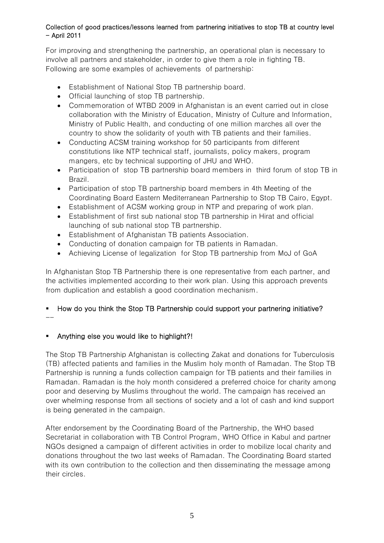For improving and strengthening the partnership, an operational plan is necessary to involve all partners and stakeholder, in order to give them a role in fighting TB. Following are some examples of achievements of partnership:

- Establishment of National Stop TB partnership board.
- Official launching of stop TB partnership.
- Commemoration of WTBD 2009 in Afghanistan is an event carried out in close collaboration with the Ministry of Education, Ministry of Culture and Information, Ministry of Public Health, and conducting of one million marches all over the country to show the solidarity of youth with TB patients and their families.
- Conducting ACSM training workshop for 50 participants from different constitutions like NTP technical staff, journalists, policy makers, program mangers, etc by technical supporting of JHU and WHO.
- Participation of stop TB partnership board members in third forum of stop TB in Brazil.
- Participation of stop TB partnership board members in 4th Meeting of the Coordinating Board Eastern Mediterranean Partnership to Stop TB Cairo, Egypt.
- Establishment of ACSM working group in NTP and preparing of work plan.
- Establishment of first sub national stop TB partnership in Hirat and official launching of sub national stop TB partnership.
- Establishment of Afghanistan TB patients Association.
- Conducting of donation campaign for TB patients in Ramadan.
- Achieving License of legalization for Stop TB partnership from MoJ of GoA

In Afghanistan Stop TB Partnership there is one representative from each partner, and the activities implemented according to their work plan. Using this approach prevents from duplication and establish a good coordination mechanism.

#### How do you think the Stop TB Partnership could support your partnering initiative? --

# Anything else you would like to highlight?!

The Stop TB Partnership Afghanistan is collecting Zakat and donations for Tuberculosis (TB) affected patients and families in the Muslim holy month of Ramadan. The Stop TB Partnership is running a funds collection campaign for TB patients and their families in Ramadan. Ramadan is the holy month considered a preferred choice for charity among poor and deserving by Muslims throughout the world. The campaign has received an over whelming response from all sections of society and a lot of cash and kind support is being generated in the campaign.

After endorsement by the Coordinating Board of the Partnership, the WHO based Secretariat in collaboration with TB Control Program, WHO Office in Kabul and partner NGOs designed a campaign of different activities in order to mobilize local charity and donations throughout the two last weeks of Ramadan. The Coordinating Board started with its own contribution to the collection and then disseminating the message among their circles.